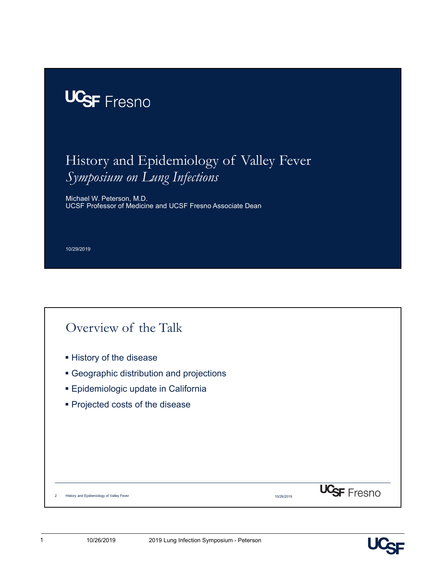

## **UC<sub>SF</sub>** Fresho<br>History and Epidemiology of Valley Fever<br>Symposium on Lung Infections<br>Michael W. Peterson, M.D.<br>UCSF Professor of Medicine and UCSF Fresno Associate Dean Symposium on Lung Infections

Michael W. Peterson, M.D. UCSF Professor of Medicine and UCSF Fresno Associate Dean

10/29/2019



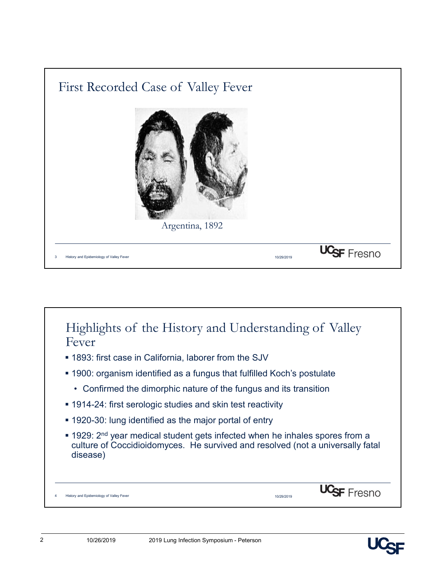



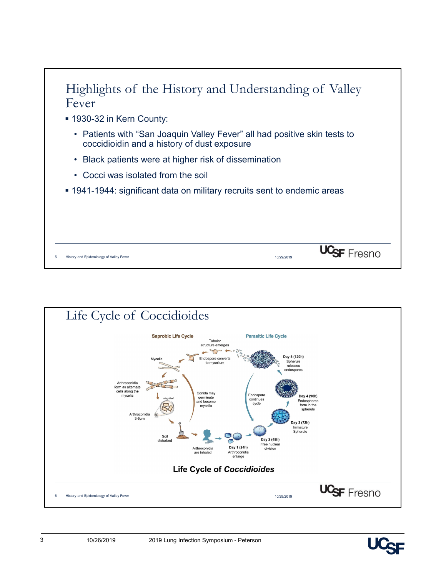



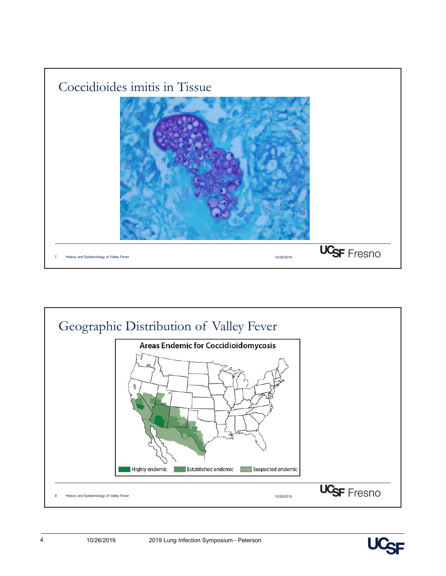



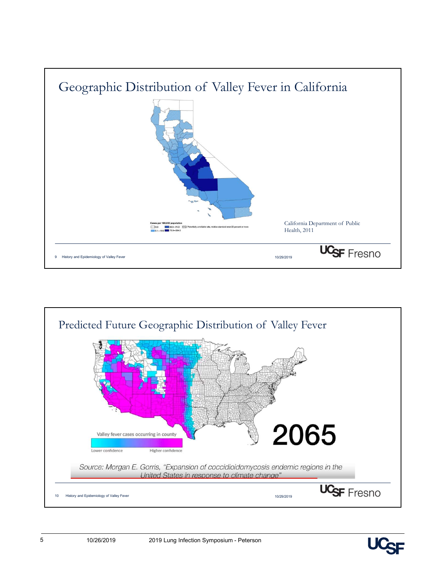

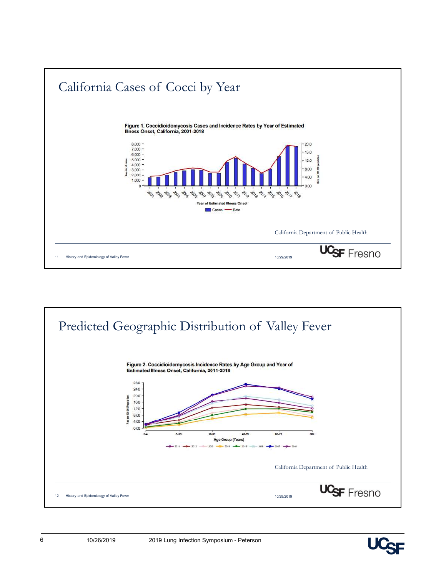



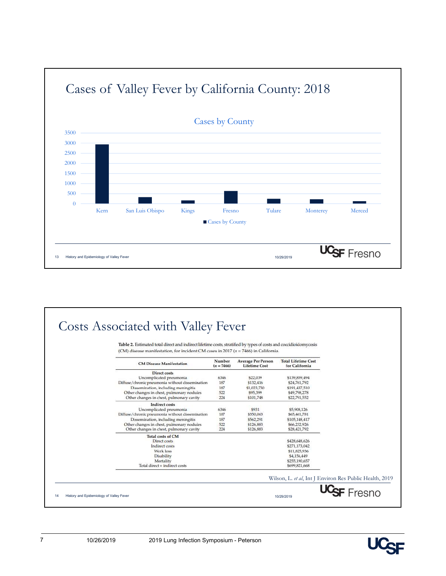

|                                          | Table 2. Estimated total direct and indirect lifetime costs, stratified by types of costs and coccidioidomycosis<br>(CM) disease manifestation, for incident CM cases in 2017 ( $n = 7466$ ) in California.                         |                                  |                                                                 |                                                                                                |                                                         |
|------------------------------------------|-------------------------------------------------------------------------------------------------------------------------------------------------------------------------------------------------------------------------------------|----------------------------------|-----------------------------------------------------------------|------------------------------------------------------------------------------------------------|---------------------------------------------------------|
|                                          | <b>CM Disease Manifestation</b>                                                                                                                                                                                                     | Number<br>$(n = 7466)$           | <b>Average Per Person</b><br><b>Lifetime Cost</b>               | <b>Total Lifetime Cost</b><br>for California                                                   |                                                         |
|                                          | Direct costs<br>Uncomplicated pneumonia<br>Diffuse/chronic pneumonia without dissemination<br>Dissemination, including meningitis<br>Other changes in chest, pulmonary nodules<br>Other changes in chest, pulmonary cavity          | 6346<br>187<br>187<br>522<br>224 | \$22,039<br>\$132,416<br>\$1,023,730<br>\$95,399<br>\$101,748   | \$139,859,494<br>\$24,761,792<br>\$191,437,510<br>\$49,798,278<br>\$22,791,552                 |                                                         |
|                                          | <b>Indirect costs</b><br>Uncomplicated pneumonia<br>Diffuse/chronic pneumonia without dissemination<br>Dissemination, including meningitis<br>Other changes in chest, pulmonary nodules<br>Other changes in chest, pulmonary cavity | 6346<br>187<br>187<br>522<br>224 | <b>S931</b><br>\$350,063<br>\$562,291<br>\$126,883<br>\$126,883 | \$5,908,126<br>\$65,461,781<br>\$105,148,417<br>\$66,232,926<br>\$28,421,792                   |                                                         |
|                                          | <b>Total costs of CM</b><br>Direct costs<br>Indirect costs<br>Work loss<br>Disability<br>Mortality<br>Total direct + indirect costs                                                                                                 |                                  |                                                                 | \$428,648,626<br>\$271,173,042<br>\$11,825,936<br>S4,156,449<br>\$255,190,657<br>\$699,821,668 |                                                         |
|                                          |                                                                                                                                                                                                                                     |                                  |                                                                 |                                                                                                | Wilson, L. et al, Int J Environ Res Public Health, 2019 |
| History and Epidemiology of Valley Fever |                                                                                                                                                                                                                                     |                                  |                                                                 | 10/29/2019                                                                                     | UC <sub>SF</sub> Fresno                                 |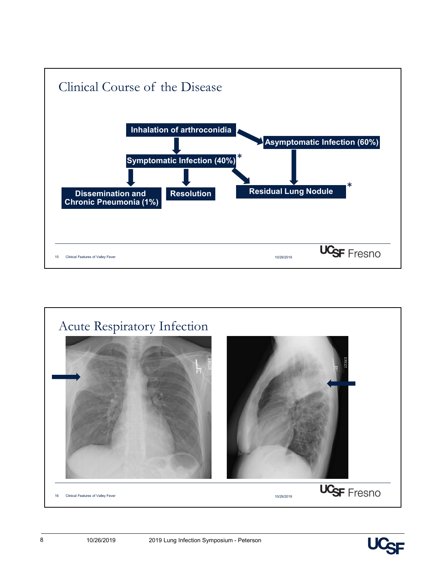



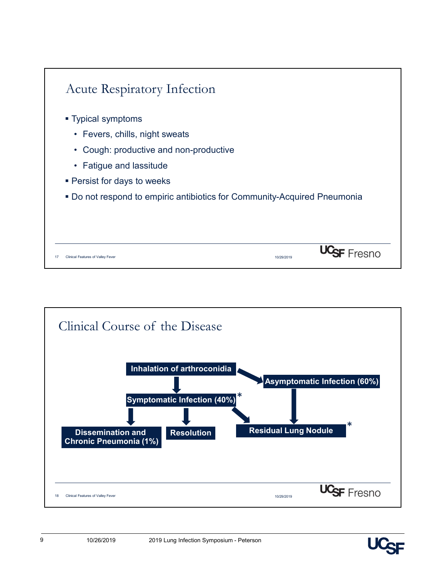